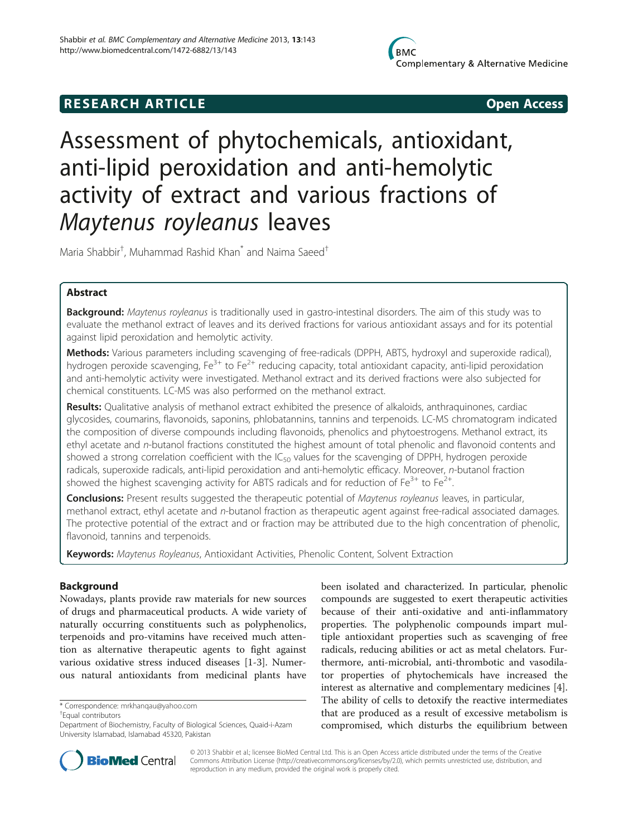## **RESEARCH ARTICLE Example 2014 CONSIDERING CONSIDERING CONSIDERING CONSIDERING CONSIDERING CONSIDERING CONSIDERING CONSIDERING CONSIDERING CONSIDERING CONSIDERING CONSIDERING CONSIDERING CONSIDERING CONSIDERING CONSIDE**

# Assessment of phytochemicals, antioxidant, anti-lipid peroxidation and anti-hemolytic activity of extract and various fractions of Maytenus royleanus leaves

Maria Shabbir<sup>†</sup>, Muhammad Rashid Khan<sup>\*</sup> and Naima Saeed<sup>†</sup>

## Abstract

Background: Maytenus royleanus is traditionally used in gastro-intestinal disorders. The aim of this study was to evaluate the methanol extract of leaves and its derived fractions for various antioxidant assays and for its potential against lipid peroxidation and hemolytic activity.

Methods: Various parameters including scavenging of free-radicals (DPPH, ABTS, hydroxyl and superoxide radical), hydrogen peroxide scavenging,  $Fe^{3+}$  to  $Fe^{2+}$  reducing capacity, total antioxidant capacity, anti-lipid peroxidation and anti-hemolytic activity were investigated. Methanol extract and its derived fractions were also subjected for chemical constituents. LC-MS was also performed on the methanol extract.

Results: Qualitative analysis of methanol extract exhibited the presence of alkaloids, anthraquinones, cardiac glycosides, coumarins, flavonoids, saponins, phlobatannins, tannins and terpenoids. LC-MS chromatogram indicated the composition of diverse compounds including flavonoids, phenolics and phytoestrogens. Methanol extract, its ethyl acetate and n-butanol fractions constituted the highest amount of total phenolic and flavonoid contents and showed a strong correlation coefficient with the  $IC_{50}$  values for the scavenging of DPPH, hydrogen peroxide radicals, superoxide radicals, anti-lipid peroxidation and anti-hemolytic efficacy. Moreover, n-butanol fraction showed the highest scavenging activity for ABTS radicals and for reduction of  $Fe^{3+}$  to  $Fe^{2+}$ .

Conclusions: Present results suggested the therapeutic potential of Maytenus royleanus leaves, in particular, methanol extract, ethyl acetate and n-butanol fraction as therapeutic agent against free-radical associated damages. The protective potential of the extract and or fraction may be attributed due to the high concentration of phenolic, flavonoid, tannins and terpenoids.

Keywords: Maytenus Royleanus, Antioxidant Activities, Phenolic Content, Solvent Extraction

## Background

Nowadays, plants provide raw materials for new sources of drugs and pharmaceutical products. A wide variety of naturally occurring constituents such as polyphenolics, terpenoids and pro-vitamins have received much attention as alternative therapeutic agents to fight against various oxidative stress induced diseases [\[1-3](#page-11-0)]. Numerous natural antioxidants from medicinal plants have

Equal contributors

been isolated and characterized. In particular, phenolic compounds are suggested to exert therapeutic activities because of their anti-oxidative and anti-inflammatory properties. The polyphenolic compounds impart multiple antioxidant properties such as scavenging of free radicals, reducing abilities or act as metal chelators. Furthermore, anti-microbial, anti-thrombotic and vasodilator properties of phytochemicals have increased the interest as alternative and complementary medicines [\[4](#page-11-0)]. The ability of cells to detoxify the reactive intermediates that are produced as a result of excessive metabolism is compromised, which disturbs the equilibrium between



© 2013 Shabbir et al.; licensee BioMed Central Ltd. This is an Open Access article distributed under the terms of the Creative Commons Attribution License [\(http://creativecommons.org/licenses/by/2.0\)](http://creativecommons.org/licenses/by/2.0), which permits unrestricted use, distribution, and reproduction in any medium, provided the original work is properly cited.

<sup>\*</sup> Correspondence: [mrkhanqau@yahoo.com](mailto:mrkhanqau@yahoo.com) †

Department of Biochemistry, Faculty of Biological Sciences, Quaid-i-Azam University Islamabad, Islamabad 45320, Pakistan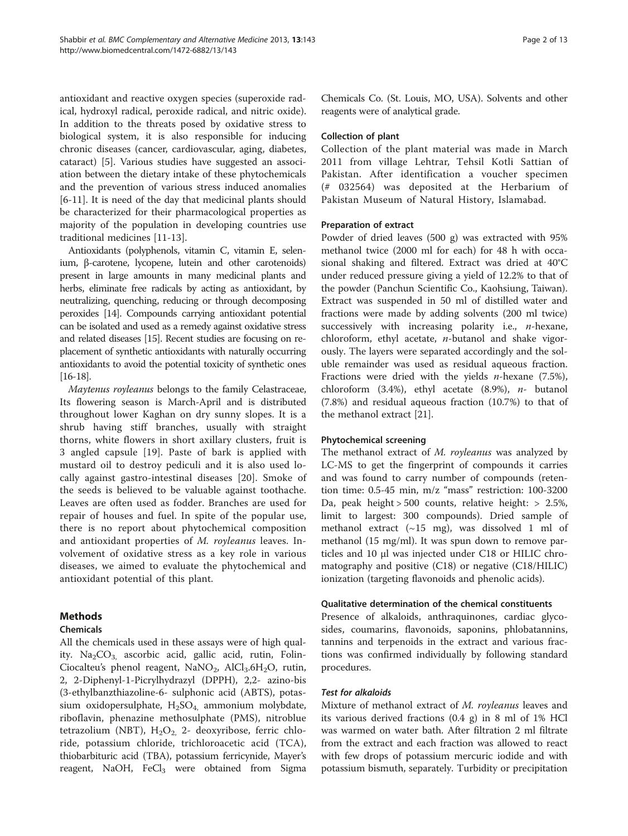antioxidant and reactive oxygen species (superoxide radical, hydroxyl radical, peroxide radical, and nitric oxide). In addition to the threats posed by oxidative stress to biological system, it is also responsible for inducing chronic diseases (cancer, cardiovascular, aging, diabetes, cataract) [\[5](#page-11-0)]. Various studies have suggested an association between the dietary intake of these phytochemicals and the prevention of various stress induced anomalies [[6-11](#page-11-0)]. It is need of the day that medicinal plants should be characterized for their pharmacological properties as majority of the population in developing countries use traditional medicines [[11-](#page-11-0)[13](#page-12-0)].

Antioxidants (polyphenols, vitamin C, vitamin E, selenium, β-carotene, lycopene, lutein and other carotenoids) present in large amounts in many medicinal plants and herbs, eliminate free radicals by acting as antioxidant, by neutralizing, quenching, reducing or through decomposing peroxides [\[14\]](#page-12-0). Compounds carrying antioxidant potential can be isolated and used as a remedy against oxidative stress and related diseases [[15](#page-12-0)]. Recent studies are focusing on replacement of synthetic antioxidants with naturally occurring antioxidants to avoid the potential toxicity of synthetic ones [[16-18\]](#page-12-0).

Maytenus royleanus belongs to the family Celastraceae, Its flowering season is March-April and is distributed throughout lower Kaghan on dry sunny slopes. It is a shrub having stiff branches, usually with straight thorns, white flowers in short axillary clusters, fruit is 3 angled capsule [[19](#page-12-0)]. Paste of bark is applied with mustard oil to destroy pediculi and it is also used locally against gastro-intestinal diseases [[20\]](#page-12-0). Smoke of the seeds is believed to be valuable against toothache. Leaves are often used as fodder. Branches are used for repair of houses and fuel. In spite of the popular use, there is no report about phytochemical composition and antioxidant properties of M. royleanus leaves. Involvement of oxidative stress as a key role in various diseases, we aimed to evaluate the phytochemical and antioxidant potential of this plant.

## Methods

## Chemicals

All the chemicals used in these assays were of high quality.  $Na<sub>2</sub>CO<sub>3</sub>$ , ascorbic acid, gallic acid, rutin, Folin-Ciocalteu's phenol reagent, NaNO<sub>2</sub>, AlCl<sub>3</sub>.6H<sub>2</sub>O, rutin, 2, 2-Diphenyl-1-Picrylhydrazyl (DPPH), 2,2- azino-bis (3-ethylbanzthiazoline-6- sulphonic acid (ABTS), potassium oxidopersulphate,  $H_2SO_4$ , ammonium molybdate, riboflavin, phenazine methosulphate (PMS), nitroblue tetrazolium (NBT),  $H_2O_2$ , 2- deoxyribose, ferric chloride, potassium chloride, trichloroacetic acid (TCA), thiobarbituric acid (TBA), potassium ferricynide, Mayer's reagent, NaOH,  $FeCl<sub>3</sub>$  were obtained from Sigma Chemicals Co. (St. Louis, MO, USA). Solvents and other reagents were of analytical grade.

#### Collection of plant

Collection of the plant material was made in March 2011 from village Lehtrar, Tehsil Kotli Sattian of Pakistan. After identification a voucher specimen (# 032564) was deposited at the Herbarium of Pakistan Museum of Natural History, Islamabad.

## Preparation of extract

Powder of dried leaves (500 g) was extracted with 95% methanol twice (2000 ml for each) for 48 h with occasional shaking and filtered. Extract was dried at 40°C under reduced pressure giving a yield of 12.2% to that of the powder (Panchun Scientific Co., Kaohsiung, Taiwan). Extract was suspended in 50 ml of distilled water and fractions were made by adding solvents (200 ml twice) successively with increasing polarity i.e.,  $n$ -hexane, chloroform, ethyl acetate,  $n$ -butanol and shake vigorously. The layers were separated accordingly and the soluble remainder was used as residual aqueous fraction. Fractions were dried with the yields  $n$ -hexane (7.5%), chloroform  $(3.4\%)$ , ethyl acetate  $(8.9\%)$ , *n*- butanol (7.8%) and residual aqueous fraction (10.7%) to that of the methanol extract [\[21\]](#page-12-0).

#### Phytochemical screening

The methanol extract of M. royleanus was analyzed by LC-MS to get the fingerprint of compounds it carries and was found to carry number of compounds (retention time: 0.5-45 min, m/z "mass" restriction: 100-3200 Da, peak height > 500 counts, relative height: > 2.5%, limit to largest: 300 compounds). Dried sample of methanol extract  $({\sim}15$  mg), was dissolved 1 ml of methanol (15 mg/ml). It was spun down to remove particles and 10 μl was injected under C18 or HILIC chromatography and positive (C18) or negative (C18/HILIC) ionization (targeting flavonoids and phenolic acids).

#### Qualitative determination of the chemical constituents

Presence of alkaloids, anthraquinones, cardiac glycosides, coumarins, flavonoids, saponins, phlobatannins, tannins and terpenoids in the extract and various fractions was confirmed individually by following standard procedures.

#### Test for alkaloids

Mixture of methanol extract of M. royleanus leaves and its various derived fractions (0.4 g) in 8 ml of 1% HCl was warmed on water bath. After filtration 2 ml filtrate from the extract and each fraction was allowed to react with few drops of potassium mercuric iodide and with potassium bismuth, separately. Turbidity or precipitation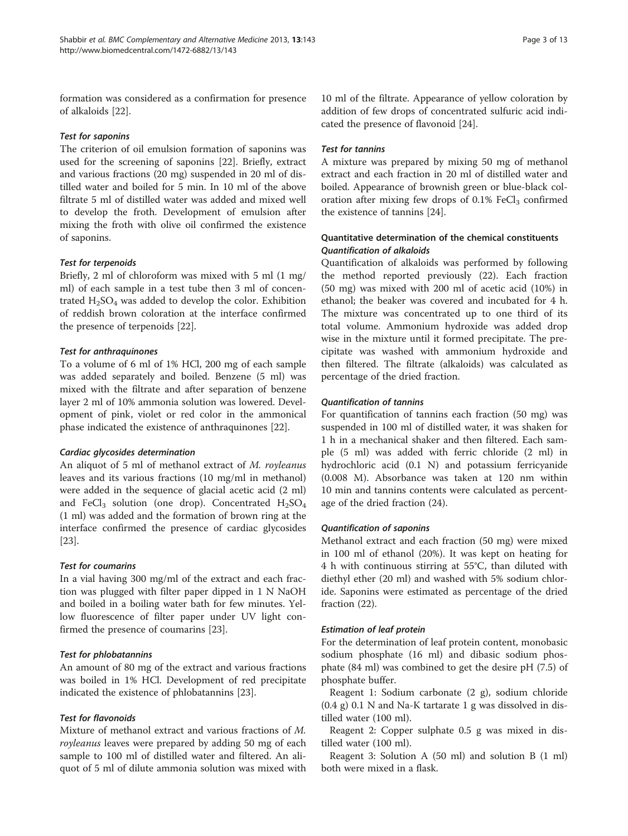formation was considered as a confirmation for presence of alkaloids [\[22\]](#page-12-0).

#### Test for saponins

The criterion of oil emulsion formation of saponins was used for the screening of saponins [[22](#page-12-0)]. Briefly, extract and various fractions (20 mg) suspended in 20 ml of distilled water and boiled for 5 min. In 10 ml of the above filtrate 5 ml of distilled water was added and mixed well to develop the froth. Development of emulsion after mixing the froth with olive oil confirmed the existence of saponins.

## Test for terpenoids

Briefly, 2 ml of chloroform was mixed with 5 ml (1 mg/ ml) of each sample in a test tube then 3 ml of concentrated  $H_2SO_4$  was added to develop the color. Exhibition of reddish brown coloration at the interface confirmed the presence of terpenoids [\[22\]](#page-12-0).

## Test for anthraquinones

To a volume of 6 ml of 1% HCl, 200 mg of each sample was added separately and boiled. Benzene (5 ml) was mixed with the filtrate and after separation of benzene layer 2 ml of 10% ammonia solution was lowered. Development of pink, violet or red color in the ammonical phase indicated the existence of anthraquinones [[22\]](#page-12-0).

#### Cardiac glycosides determination

An aliquot of 5 ml of methanol extract of M. royleanus leaves and its various fractions (10 mg/ml in methanol) were added in the sequence of glacial acetic acid (2 ml) and FeCl<sub>3</sub> solution (one drop). Concentrated  $H_2SO_4$ (1 ml) was added and the formation of brown ring at the interface confirmed the presence of cardiac glycosides [[23\]](#page-12-0).

#### Test for coumarins

In a vial having 300 mg/ml of the extract and each fraction was plugged with filter paper dipped in 1 N NaOH and boiled in a boiling water bath for few minutes. Yellow fluorescence of filter paper under UV light confirmed the presence of coumarins [[23\]](#page-12-0).

#### Test for phlobatannins

An amount of 80 mg of the extract and various fractions was boiled in 1% HCl. Development of red precipitate indicated the existence of phlobatannins [[23\]](#page-12-0).

#### Test for flavonoids

Mixture of methanol extract and various fractions of M. royleanus leaves were prepared by adding 50 mg of each sample to 100 ml of distilled water and filtered. An aliquot of 5 ml of dilute ammonia solution was mixed with

10 ml of the filtrate. Appearance of yellow coloration by addition of few drops of concentrated sulfuric acid indicated the presence of flavonoid [\[24](#page-12-0)].

#### Test for tannins

A mixture was prepared by mixing 50 mg of methanol extract and each fraction in 20 ml of distilled water and boiled. Appearance of brownish green or blue-black coloration after mixing few drops of  $0.1\%$  FeCl<sub>3</sub> confirmed the existence of tannins [\[24\]](#page-12-0).

## Quantitative determination of the chemical constituents Quantification of alkaloids

Quantification of alkaloids was performed by following the method reported previously (22). Each fraction (50 mg) was mixed with 200 ml of acetic acid (10%) in ethanol; the beaker was covered and incubated for 4 h. The mixture was concentrated up to one third of its total volume. Ammonium hydroxide was added drop wise in the mixture until it formed precipitate. The precipitate was washed with ammonium hydroxide and then filtered. The filtrate (alkaloids) was calculated as percentage of the dried fraction.

## Quantification of tannins

For quantification of tannins each fraction (50 mg) was suspended in 100 ml of distilled water, it was shaken for 1 h in a mechanical shaker and then filtered. Each sample (5 ml) was added with ferric chloride (2 ml) in hydrochloric acid (0.1 N) and potassium ferricyanide (0.008 M). Absorbance was taken at 120 nm within 10 min and tannins contents were calculated as percentage of the dried fraction (24).

#### Quantification of saponins

Methanol extract and each fraction (50 mg) were mixed in 100 ml of ethanol (20%). It was kept on heating for 4 h with continuous stirring at 55°C, than diluted with diethyl ether (20 ml) and washed with 5% sodium chloride. Saponins were estimated as percentage of the dried fraction (22).

## Estimation of leaf protein

For the determination of leaf protein content, monobasic sodium phosphate (16 ml) and dibasic sodium phosphate (84 ml) was combined to get the desire pH (7.5) of phosphate buffer.

Reagent 1: Sodium carbonate (2 g), sodium chloride (0.4 g) 0.1 N and Na-K tartarate 1 g was dissolved in distilled water (100 ml).

Reagent 2: Copper sulphate 0.5 g was mixed in distilled water (100 ml).

Reagent 3: Solution A (50 ml) and solution B (1 ml) both were mixed in a flask.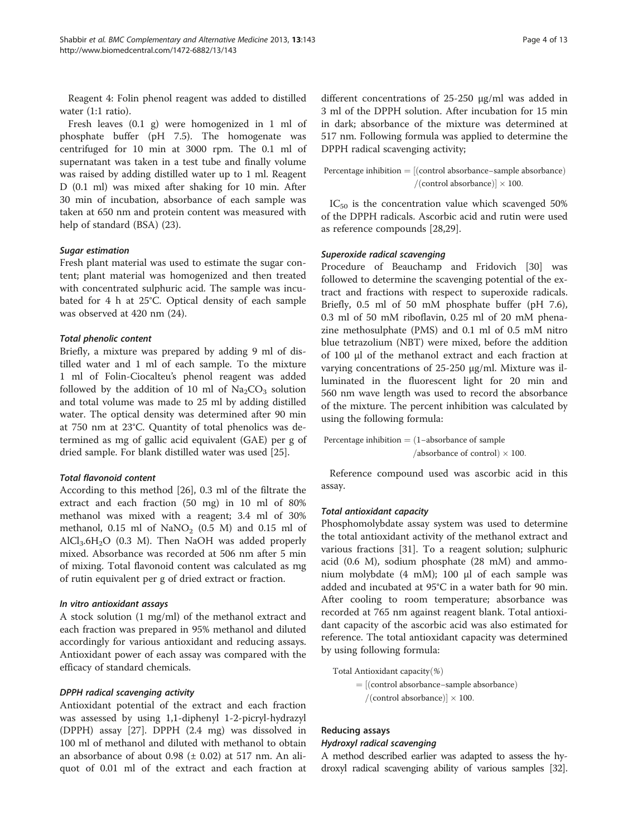Reagent 4: Folin phenol reagent was added to distilled water (1:1 ratio).

Fresh leaves (0.1 g) were homogenized in 1 ml of phosphate buffer (pH 7.5). The homogenate was centrifuged for 10 min at 3000 rpm. The 0.1 ml of supernatant was taken in a test tube and finally volume was raised by adding distilled water up to 1 ml. Reagent D (0.1 ml) was mixed after shaking for 10 min. After 30 min of incubation, absorbance of each sample was taken at 650 nm and protein content was measured with help of standard (BSA) (23).

#### Sugar estimation

Fresh plant material was used to estimate the sugar content; plant material was homogenized and then treated with concentrated sulphuric acid. The sample was incubated for 4 h at 25°C. Optical density of each sample was observed at 420 nm (24).

## Total phenolic content

Briefly, a mixture was prepared by adding 9 ml of distilled water and 1 ml of each sample. To the mixture 1 ml of Folin-Ciocalteu's phenol reagent was added followed by the addition of 10 ml of  $Na<sub>2</sub>CO<sub>3</sub>$  solution and total volume was made to 25 ml by adding distilled water. The optical density was determined after 90 min at 750 nm at 23°C. Quantity of total phenolics was determined as mg of gallic acid equivalent (GAE) per g of dried sample. For blank distilled water was used [[25\]](#page-12-0).

## Total flavonoid content

According to this method [[26\]](#page-12-0), 0.3 ml of the filtrate the extract and each fraction (50 mg) in 10 ml of 80% methanol was mixed with a reagent; 3.4 ml of 30% methanol,  $0.15$  ml of NaNO<sub>2</sub> (0.5 M) and 0.15 ml of AlCl<sub>3</sub>.6H<sub>2</sub>O (0.3 M). Then NaOH was added properly mixed. Absorbance was recorded at 506 nm after 5 min of mixing. Total flavonoid content was calculated as mg of rutin equivalent per g of dried extract or fraction.

#### In vitro antioxidant assays

A stock solution (1 mg/ml) of the methanol extract and each fraction was prepared in 95% methanol and diluted accordingly for various antioxidant and reducing assays. Antioxidant power of each assay was compared with the efficacy of standard chemicals.

#### DPPH radical scavenging activity

Antioxidant potential of the extract and each fraction was assessed by using 1,1-diphenyl 1-2-picryl-hydrazyl (DPPH) assay [\[27](#page-12-0)]. DPPH (2.4 mg) was dissolved in 100 ml of methanol and diluted with methanol to obtain an absorbance of about 0.98 ( $\pm$  0.02) at 517 nm. An aliquot of 0.01 ml of the extract and each fraction at

different concentrations of 25-250 μg/ml was added in 3 ml of the DPPH solution. After incubation for 15 min in dark; absorbance of the mixture was determined at 517 nm. Following formula was applied to determine the DPPH radical scavenging activity;

Percentage inhibition = [(control absorbance-sample absorbance) /(control absorbance)]  $\times$  100.

 $IC_{50}$  is the concentration value which scavenged 50% of the DPPH radicals. Ascorbic acid and rutin were used as reference compounds [[28,29](#page-12-0)].

## Superoxide radical scavenging

Procedure of Beauchamp and Fridovich [[30\]](#page-12-0) was followed to determine the scavenging potential of the extract and fractions with respect to superoxide radicals. Briefly, 0.5 ml of 50 mM phosphate buffer (pH 7.6), 0.3 ml of 50 mM riboflavin, 0.25 ml of 20 mM phenazine methosulphate (PMS) and 0.1 ml of 0.5 mM nitro blue tetrazolium (NBT) were mixed, before the addition of 100 μl of the methanol extract and each fraction at varying concentrations of 25-250 μg/ml. Mixture was illuminated in the fluorescent light for 20 min and 560 nm wave length was used to record the absorbance of the mixture. The percent inhibition was calculated by using the following formula:

Percentage inhibition  $= (1 - absorbance of sample)$ /absorbance of control $) \times 100$ .

Reference compound used was ascorbic acid in this assay.

## Total antioxidant capacity

Phosphomolybdate assay system was used to determine the total antioxidant activity of the methanol extract and various fractions [[31](#page-12-0)]. To a reagent solution; sulphuric acid (0.6 M), sodium phosphate (28 mM) and ammonium molybdate (4 mM); 100 μl of each sample was added and incubated at 95°C in a water bath for 90 min. After cooling to room temperature; absorbance was recorded at 765 nm against reagent blank. Total antioxidant capacity of the ascorbic acid was also estimated for reference. The total antioxidant capacity was determined by using following formula:

Total Antioxidant capacity $(\%)$ ¼ ð½ Þ control absorbance−sample absorbance /(control absorbance)]  $\times$  100.

## Reducing assays

## Hydroxyl radical scavenging

A method described earlier was adapted to assess the hydroxyl radical scavenging ability of various samples [\[32\]](#page-12-0).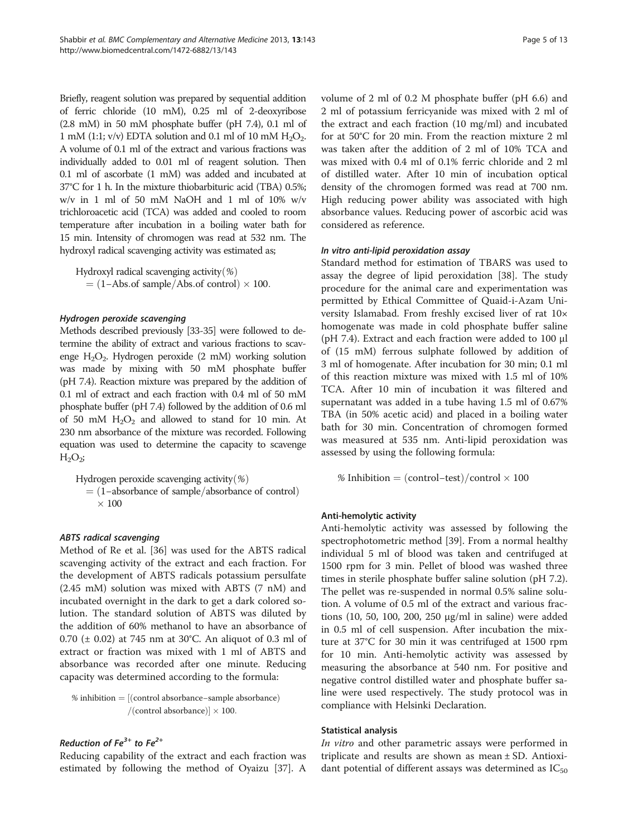Briefly, reagent solution was prepared by sequential addition of ferric chloride (10 mM), 0.25 ml of 2-deoxyribose (2.8 mM) in 50 mM phosphate buffer (pH 7.4), 0.1 ml of 1 mM (1:1; v/v) EDTA solution and 0.1 ml of 10 mM  $H_2O_2$ . A volume of 0.1 ml of the extract and various fractions was individually added to 0.01 ml of reagent solution. Then 0.1 ml of ascorbate (1 mM) was added and incubated at 37°C for 1 h. In the mixture thiobarbituric acid (TBA) 0.5%; w/v in 1 ml of 50 mM NaOH and 1 ml of 10% w/v trichloroacetic acid (TCA) was added and cooled to room temperature after incubation in a boiling water bath for 15 min. Intensity of chromogen was read at 532 nm. The hydroxyl radical scavenging activity was estimated as;

Hydroxyl radical scavenging activity $(\%)$  $= (1 - Abs.of sample/Abs.of control) \times 100.$ 

## Hydrogen peroxide scavenging

Methods described previously [\[33-35](#page-12-0)] were followed to determine the ability of extract and various fractions to scavenge  $H_2O_2$ . Hydrogen peroxide (2 mM) working solution was made by mixing with 50 mM phosphate buffer (pH 7.4). Reaction mixture was prepared by the addition of 0.1 ml of extract and each fraction with 0.4 ml of 50 mM phosphate buffer (pH 7.4) followed by the addition of 0.6 ml of 50 mM  $H_2O_2$  and allowed to stand for 10 min. At 230 nm absorbance of the mixture was recorded. Following equation was used to determine the capacity to scavenge  $H_2O_2$ ;

Hydrogen peroxide scavenging activity $(\%)$ 

= (1-absorbance of sample/absorbance of control)  $\times$  100

## ABTS radical scavenging

Method of Re et al. [[36](#page-12-0)] was used for the ABTS radical scavenging activity of the extract and each fraction. For the development of ABTS radicals potassium persulfate (2.45 mM) solution was mixed with ABTS (7 nM) and incubated overnight in the dark to get a dark colored solution. The standard solution of ABTS was diluted by the addition of 60% methanol to have an absorbance of 0.70 (± 0.02) at 745 nm at 30°C. An aliquot of 0.3 ml of extract or fraction was mixed with 1 ml of ABTS and absorbance was recorded after one minute. Reducing capacity was determined according to the formula:

$$
\%~\mathrm{inhibition} = [(\mathrm{control~absorbance-sample~absorbance})\\/( \mathrm{control~absorbance})] \times 100.
$$

## Reduction of  $Fe^{3+}$  to  $Fe^{2+}$

Reducing capability of the extract and each fraction was estimated by following the method of Oyaizu [\[37](#page-12-0)]. A volume of 2 ml of 0.2 M phosphate buffer (pH 6.6) and 2 ml of potassium ferricyanide was mixed with 2 ml of the extract and each fraction (10 mg/ml) and incubated for at 50°C for 20 min. From the reaction mixture 2 ml was taken after the addition of 2 ml of 10% TCA and was mixed with 0.4 ml of 0.1% ferric chloride and 2 ml of distilled water. After 10 min of incubation optical density of the chromogen formed was read at 700 nm. High reducing power ability was associated with high absorbance values. Reducing power of ascorbic acid was considered as reference.

## In vitro anti-lipid peroxidation assay

Standard method for estimation of TBARS was used to assay the degree of lipid peroxidation [[38](#page-12-0)]. The study procedure for the animal care and experimentation was permitted by Ethical Committee of Quaid-i-Azam University Islamabad. From freshly excised liver of rat 10× homogenate was made in cold phosphate buffer saline (pH 7.4). Extract and each fraction were added to 100 μl of (15 mM) ferrous sulphate followed by addition of 3 ml of homogenate. After incubation for 30 min; 0.1 ml of this reaction mixture was mixed with 1.5 ml of 10% TCA. After 10 min of incubation it was filtered and supernatant was added in a tube having 1.5 ml of 0.67% TBA (in 50% acetic acid) and placed in a boiling water bath for 30 min. Concentration of chromogen formed was measured at 535 nm. Anti-lipid peroxidation was assessed by using the following formula:

$$
\%~Inhibition = (control-test)/control \times 100
$$

## Anti-hemolytic activity

Anti-hemolytic activity was assessed by following the spectrophotometric method [[39](#page-12-0)]. From a normal healthy individual 5 ml of blood was taken and centrifuged at 1500 rpm for 3 min. Pellet of blood was washed three times in sterile phosphate buffer saline solution (pH 7.2). The pellet was re-suspended in normal 0.5% saline solution. A volume of 0.5 ml of the extract and various fractions (10, 50, 100, 200, 250 μg/ml in saline) were added in 0.5 ml of cell suspension. After incubation the mixture at 37°C for 30 min it was centrifuged at 1500 rpm for 10 min. Anti-hemolytic activity was assessed by measuring the absorbance at 540 nm. For positive and negative control distilled water and phosphate buffer saline were used respectively. The study protocol was in compliance with Helsinki Declaration.

## Statistical analysis

In vitro and other parametric assays were performed in triplicate and results are shown as mean  $\pm$  SD. Antioxidant potential of different assays was determined as  $IC_{50}$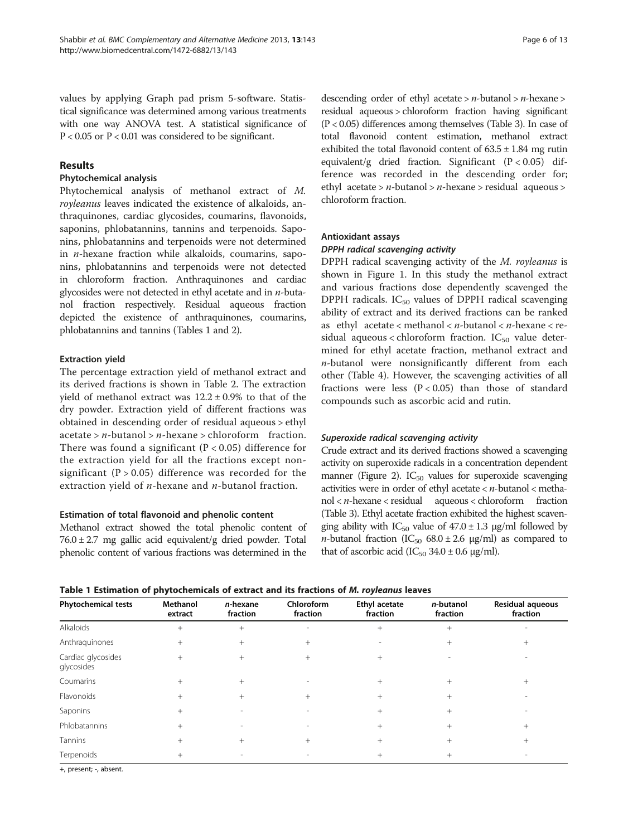values by applying Graph pad prism 5-software. Statistical significance was determined among various treatments with one way ANOVA test. A statistical significance of P < 0.05 or P < 0.01 was considered to be significant.

## Results

## Phytochemical analysis

Phytochemical analysis of methanol extract of M. royleanus leaves indicated the existence of alkaloids, anthraquinones, cardiac glycosides, coumarins, flavonoids, saponins, phlobatannins, tannins and terpenoids. Saponins, phlobatannins and terpenoids were not determined in n-hexane fraction while alkaloids, coumarins, saponins, phlobatannins and terpenoids were not detected in chloroform fraction. Anthraquinones and cardiac glycosides were not detected in ethyl acetate and in  $n$ -butanol fraction respectively. Residual aqueous fraction depicted the existence of anthraquinones, coumarins, phlobatannins and tannins (Tables 1 and [2](#page-6-0)).

## Extraction yield

The percentage extraction yield of methanol extract and its derived fractions is shown in Table [2](#page-6-0). The extraction yield of methanol extract was  $12.2 \pm 0.9\%$  to that of the dry powder. Extraction yield of different fractions was obtained in descending order of residual aqueous > ethyl  $acetate > n$ -butanol  $> n$ -hexane  $>$  chloroform fraction. There was found a significant ( $P < 0.05$ ) difference for the extraction yield for all the fractions except nonsignificant ( $P > 0.05$ ) difference was recorded for the extraction yield of *n*-hexane and *n*-butanol fraction.

#### Estimation of total flavonoid and phenolic content

Methanol extract showed the total phenolic content of  $76.0 \pm 2.7$  mg gallic acid equivalent/g dried powder. Total phenolic content of various fractions was determined in the

descending order of ethyl acetate >  $n$ -butanol >  $n$ -hexane > residual aqueous > chloroform fraction having significant (P < 0.05) differences among themselves (Table [3](#page-6-0)). In case of total flavonoid content estimation, methanol extract exhibited the total flavonoid content of  $63.5 \pm 1.84$  mg rutin equivalent/g dried fraction. Significant (P < 0.05) difference was recorded in the descending order for; ethyl acetate >  $n$ -butanol >  $n$ -hexane > residual aqueous > chloroform fraction.

## Antioxidant assays

#### DPPH radical scavenging activity

DPPH radical scavenging activity of the M. royleanus is shown in Figure [1.](#page-7-0) In this study the methanol extract and various fractions dose dependently scavenged the DPPH radicals.  $IC_{50}$  values of DPPH radical scavenging ability of extract and its derived fractions can be ranked as ethyl acetate < methanol <  $n$ -butanol <  $n$ -hexane < residual aqueous < chloroform fraction.  $IC_{50}$  value determined for ethyl acetate fraction, methanol extract and  $n$ -butanol were nonsignificantly different from each other (Table [4\)](#page-7-0). However, the scavenging activities of all fractions were less  $(P < 0.05)$  than those of standard compounds such as ascorbic acid and rutin.

#### Superoxide radical scavenging activity

Crude extract and its derived fractions showed a scavenging activity on superoxide radicals in a concentration dependent manner (Figure [2\)](#page-7-0).  $IC_{50}$  values for superoxide scavenging activities were in order of ethyl acetate  $\langle n$ -butanol  $\langle$  methanol < n-hexane < residual aqueous < chloroform fraction (Table [3\)](#page-6-0). Ethyl acetate fraction exhibited the highest scavenging ability with  $IC_{50}$  value of  $47.0 \pm 1.3$  µg/ml followed by *n*-butanol fraction (IC<sub>50</sub> 68.0 ± 2.6 µg/ml) as compared to that of ascorbic acid ( $IC_{50}$  34.0  $\pm$  0.6  $\mu$ g/ml).

| <b>Phytochemical tests</b>       | Methanol<br>extract | n-hexane<br>fraction | Chloroform<br>fraction | <b>Ethyl acetate</b><br>fraction | n-butanol<br>fraction | Residual aqueous<br>fraction |
|----------------------------------|---------------------|----------------------|------------------------|----------------------------------|-----------------------|------------------------------|
| Alkaloids                        |                     | $^{+}$               |                        | $^{+}$                           | $^{+}$                |                              |
| Anthraquinones                   | $^{+}$              | $^{+}$               | $^{+}$                 |                                  | $^{+}$                | $^{+}$                       |
| Cardiac glycosides<br>glycosides | $^{+}$              | $^{+}$               | $^{+}$                 | $^{+}$                           |                       |                              |
| Coumarins                        |                     | $^{+}$               |                        | $^{+}$                           | $^{+}$                | $^{+}$                       |
| Flavonoids                       |                     | $+$                  | $^{+}$                 | $^{+}$                           | $^{+}$                |                              |
| Saponins                         |                     |                      |                        | $\! +$                           | $^{+}$                |                              |
| Phlobatannins                    |                     |                      |                        | $^{+}$                           | $^{+}$                | $^{+}$                       |
| Tannins                          |                     | $^{+}$               | $^{+}$                 | $^{+}$                           | $^{+}$                | $+$                          |
| Terpenoids                       |                     |                      |                        | $^{+}$                           | $^{+}$                |                              |

+, present; -, absent.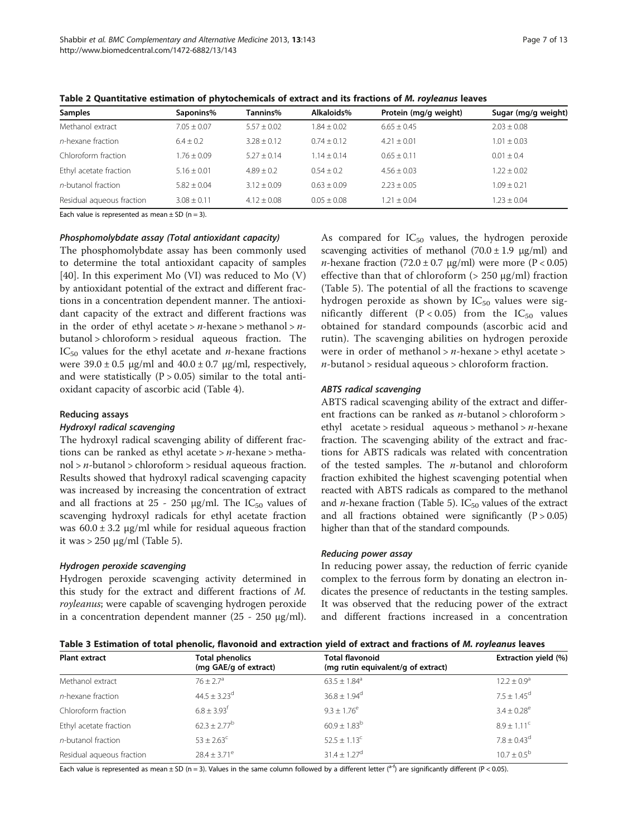| <b>Samples</b>             | Saponins%     | Tannins%        | Alkaloids%    | Protein (mg/g weight) | Sugar (mg/g weight) |
|----------------------------|---------------|-----------------|---------------|-----------------------|---------------------|
| Methanol extract           | $7.05 + 0.07$ | $5.57 + 0.02$   | $1.84 + 0.02$ | $6.65 + 0.45$         | $2.03 + 0.08$       |
| <i>n</i> -hexane fraction  | $6.4 + 0.2$   | $3.28 \pm 0.12$ | $0.74 + 0.12$ | $4.21 + 0.01$         | $1.01 \pm 0.03$     |
| Chloroform fraction        | $1.76 + 0.09$ | $5.27 + 0.14$   | $1.14 + 0.14$ | $0.65 + 0.11$         | $0.01 \pm 0.4$      |
| Ethyl acetate fraction     | $5.16 + 0.01$ | $4.89 + 0.2$    | $0.54 + 0.2$  | $4.56 + 0.03$         | $1.22 \pm 0.02$     |
| <i>n</i> -butanol fraction | $5.82 + 0.04$ | $3.12 + 0.09$   | $0.63 + 0.09$ | $2.23 + 0.05$         | $1.09 \pm 0.21$     |
| Residual aqueous fraction  | $3.08 + 0.11$ | $4.12 \pm 0.08$ | $0.05 + 0.08$ | $1.21 + 0.04$         | $1.23 \pm 0.04$     |

<span id="page-6-0"></span>Table 2 Quantitative estimation of phytochemicals of extract and its fractions of M. royleanus leaves

Each value is represented as mean  $\pm$  SD (n = 3).

#### Phosphomolybdate assay (Total antioxidant capacity)

The phosphomolybdate assay has been commonly used to determine the total antioxidant capacity of samples [[40\]](#page-12-0). In this experiment Mo  $(VI)$  was reduced to Mo  $(V)$ by antioxidant potential of the extract and different fractions in a concentration dependent manner. The antioxidant capacity of the extract and different fractions was in the order of ethyl acetate >  $n$ -hexane > methanol >  $n$ butanol > chloroform > residual aqueous fraction. The  $IC_{50}$  values for the ethyl acetate and *n*-hexane fractions were  $39.0 \pm 0.5$  µg/ml and  $40.0 \pm 0.7$  µg/ml, respectively, and were statistically  $(P > 0.05)$  similar to the total antioxidant capacity of ascorbic acid (Table [4](#page-7-0)).

#### Reducing assays

## Hydroxyl radical scavenging

The hydroxyl radical scavenging ability of different fractions can be ranked as ethyl acetate  $> n$ -hexane  $>$  methanol > n-butanol > chloroform > residual aqueous fraction. Results showed that hydroxyl radical scavenging capacity was increased by increasing the concentration of extract and all fractions at  $25$  -  $250 \text{ µg/ml}$ . The IC<sub>50</sub> values of scavenging hydroxyl radicals for ethyl acetate fraction was  $60.0 \pm 3.2$  µg/ml while for residual aqueous fraction it was > 250 μg/ml (Table [5\)](#page-8-0).

#### Hydrogen peroxide scavenging

Hydrogen peroxide scavenging activity determined in this study for the extract and different fractions of M. royleanus; were capable of scavenging hydrogen peroxide in a concentration dependent manner  $(25 - 250 \text{ μg/ml})$ . As compared for  $IC_{50}$  values, the hydrogen peroxide scavenging activities of methanol  $(70.0 \pm 1.9 \text{ µg/ml})$  and *n*-hexane fraction (72.0  $\pm$  0.7 µg/ml) were more (P < 0.05) effective than that of chloroform  $(> 250 \mu g/ml)$  fraction (Table [5](#page-8-0)). The potential of all the fractions to scavenge hydrogen peroxide as shown by  $IC_{50}$  values were significantly different (P < 0.05) from the  $IC_{50}$  values obtained for standard compounds (ascorbic acid and rutin). The scavenging abilities on hydrogen peroxide were in order of methanol  $> n$ -hexane  $>$  ethyl acetate  $>$  $n$ -butanol > residual aqueous > chloroform fraction.

#### ABTS radical scavenging

ABTS radical scavenging ability of the extract and different fractions can be ranked as  $n$ -butanol > chloroform > ethyl acetate > residual aqueous > methanol >  $n$ -hexane fraction. The scavenging ability of the extract and fractions for ABTS radicals was related with concentration of the tested samples. The  $n$ -butanol and chloroform fraction exhibited the highest scavenging potential when reacted with ABTS radicals as compared to the methanol and *n*-hexane fraction (Table [5](#page-8-0)). IC<sub>50</sub> values of the extract and all fractions obtained were significantly  $(P > 0.05)$ higher than that of the standard compounds.

#### Reducing power assay

In reducing power assay, the reduction of ferric cyanide complex to the ferrous form by donating an electron indicates the presence of reductants in the testing samples. It was observed that the reducing power of the extract and different fractions increased in a concentration

Table 3 Estimation of total phenolic, flavonoid and extraction yield of extract and fractions of M. royleanus leaves

| <b>Plant extract</b>       | <b>Total phenolics</b><br>(mg GAE/g of extract) | <b>Total flavonoid</b><br>(mg rutin equivalent/g of extract) | Extraction yield (%)   |  |
|----------------------------|-------------------------------------------------|--------------------------------------------------------------|------------------------|--|
| Methanol extract           | $76 + 2.7^a$                                    | $63.5 \pm 1.84$ <sup>a</sup>                                 | $12.2 \pm 0.9^{\circ}$ |  |
| $n$ -hexane fraction       | $44.5 \pm 3.23^{\circ}$                         | $36.8 + 1.94^d$                                              | $7.5 + 1.45^d$         |  |
| Chloroform fraction        | $6.8 \pm 3.93$ <sup>f</sup>                     | $9.3 + 1.76^e$                                               | $3.4 + 0.28^e$         |  |
| Ethyl acetate fraction     | $62.3 + 2.77^b$                                 | $60.9 + 1.83^{b}$                                            | $8.9 + 1.11^{\circ}$   |  |
| <i>n</i> -butanol fraction | $53 \pm 2.63^{\circ}$                           | $52.5 + 1.13^c$                                              | $7.8 \pm 0.43^d$       |  |
| Residual aqueous fraction  | $78.4 + 3.71^e$                                 | $31.4 + 1.27$ <sup>d</sup>                                   | $10.7 + 0.5^{\rm b}$   |  |

Each value is represented as mean  $\pm$  SD (n = 3). Values in the same column followed by a different letter ( $e^{a-f}$ ) are significantly different (P < 0.05).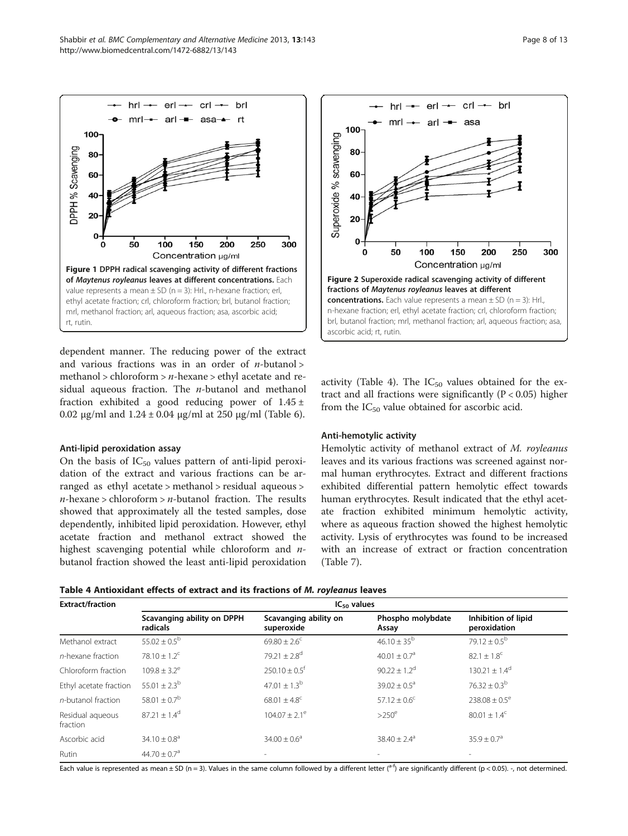dependent manner. The reducing power of the extract and various fractions was in an order of  $n$ -butanol > methanol > chloroform > n-hexane > ethyl acetate and residual aqueous fraction. The  $n$ -butanol and methanol fraction exhibited a good reducing power of  $1.45 \pm$ 0.02 μg/ml and  $1.24 \pm 0.04$  μg/ml at 250 μg/ml (Table [6\)](#page-8-0).

#### Anti-lipid peroxidation assay

On the basis of  $IC_{50}$  values pattern of anti-lipid peroxidation of the extract and various fractions can be arranged as ethyl acetate > methanol > residual aqueous >  $n$ -hexane > chloroform >  $n$ -butanol fraction. The results showed that approximately all the tested samples, dose dependently, inhibited lipid peroxidation. However, ethyl acetate fraction and methanol extract showed the highest scavenging potential while chloroform and nbutanol fraction showed the least anti-lipid peroxidation activity (Table 4). The  $IC_{50}$  values obtained for the extract and all fractions were significantly  $(P < 0.05)$  higher from the  $IC_{50}$  value obtained for ascorbic acid.

#### Anti-hemotylic activity

Hemolytic activity of methanol extract of M. royleanus leaves and its various fractions was screened against normal human erythrocytes. Extract and different fractions exhibited differential pattern hemolytic effect towards human erythrocytes. Result indicated that the ethyl acetate fraction exhibited minimum hemolytic activity, where as aqueous fraction showed the highest hemolytic activity. Lysis of erythrocytes was found to be increased with an increase of extract or fraction concentration (Table [7\)](#page-9-0).

Inhibition of lipid

Phospho molybdate



 $Extraction$   $IC_{50}$  values

Scavanging ability on DPPH

|                              | radicals                     | superoxide                    | Assay                        | peroxidation                |
|------------------------------|------------------------------|-------------------------------|------------------------------|-----------------------------|
| Methanol extract             | $55.02 \pm 0.5^{\rm b}$      | $69.80 \pm 2.6^{\circ}$       | $46.10 \pm 35^{b}$           | $79.12 \pm 0.5^{b}$         |
| n-hexane fraction            | $78.10 \pm 1.2$ <sup>c</sup> | $79.21 \pm 2.8$ <sup>d</sup>  | $40.01 \pm 0.7$ <sup>a</sup> | $82.1 \pm 1.8$ <sup>c</sup> |
| Chloroform fraction          | $109.8 \pm 3.2^e$            | $250.10 \pm 0.5$ <sup>f</sup> | $90.22 \pm 1.2$ <sup>d</sup> | $130.21 \pm 1.4^d$          |
| Ethyl acetate fraction       | 55.01 $\pm$ 2.3 <sup>b</sup> | $47.01 \pm 1.3^{b}$           | $39.02 \pm 0.5^{\circ}$      | $76.32 \pm 0.3^b$           |
| n-butanol fraction           | $58.01 \pm 0.7^b$            | $68.01 \pm 4.8$ <sup>c</sup>  | $57.12 \pm 0.6^{\circ}$      | $238.08 \pm 0.5^e$          |
| Residual aqueous<br>fraction | $87.21 \pm 1.4^d$            | $104.07 \pm 2.1^e$            | $>250^\circ$                 | $80.01 \pm 1.4^c$           |
| Ascorbic acid                | $34.10 \pm 0.8$ <sup>a</sup> | $34.00 \pm 0.6^{\circ}$       | $38.40 \pm 2.4^{\circ}$      | $35.9 \pm 0.7$ <sup>a</sup> |
| <b>Rutin</b>                 | $44.70 \pm 0.7$ <sup>a</sup> |                               |                              |                             |

Scavanging ability on

Each value is represented as mean ± SD (n = 3). Values in the same column followed by a different letter (<sup>a-f</sup>) are significantly different (p < 0.05). -, not determined.

<span id="page-7-0"></span>

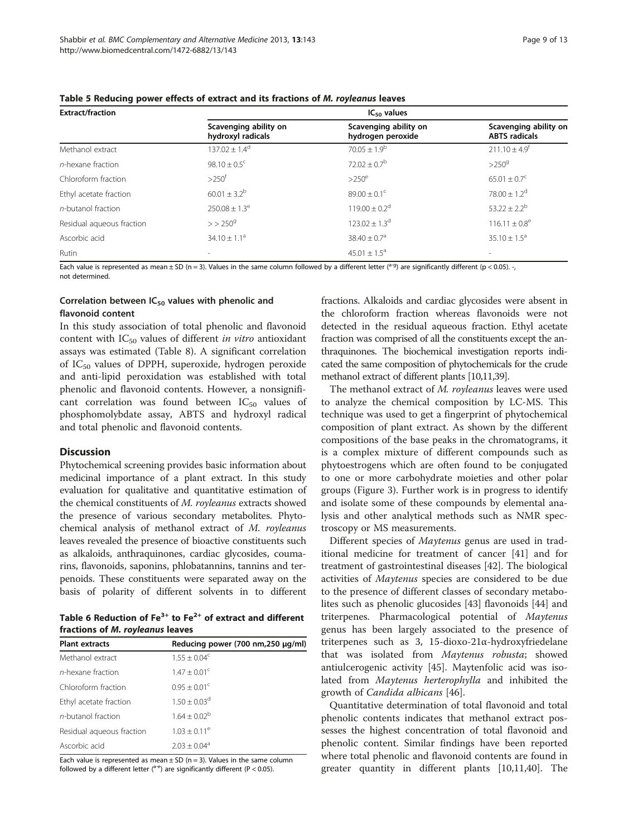| <b>Extract/fraction</b>    | $IC_{50}$ values                           |                                            |                                               |  |  |
|----------------------------|--------------------------------------------|--------------------------------------------|-----------------------------------------------|--|--|
|                            | Scavenging ability on<br>hydroxyl radicals | Scavenging ability on<br>hydrogen peroxide | Scavenging ability on<br><b>ABTS radicals</b> |  |  |
| Methanol extract           | $137.02 \pm 1.4^d$                         | $70.05 \pm 1.9^b$                          | $211.10 \pm 4.9$ <sup>t</sup>                 |  |  |
| <i>n</i> -hexane fraction  | $98.10 + 0.5^{\circ}$                      | $72.02 + 0.7^b$                            | $>250^9$                                      |  |  |
| Chloroform fraction        | $>250^f$                                   | $>250^{\circ}$                             | $65.01 \pm 0.7^c$                             |  |  |
| Ethyl acetate fraction     | $60.01 \pm 3.2^b$                          | $89.00 \pm 0.1^{\circ}$                    | $78.00 \pm 1.2$ <sup>d</sup>                  |  |  |
| <i>n</i> -butanol fraction | $250.08 \pm 1.3^e$                         | $119.00 \pm 0.2$ <sup>d</sup>              | $53.22 \pm 2.2^b$                             |  |  |
| Residual aqueous fraction  | $>$ 250 <sup>9</sup>                       | $123.02 \pm 1.3$ <sup>d</sup>              | $116.11 \pm 0.8^e$                            |  |  |
| Ascorbic acid              | $34.10 \pm 1.1^a$                          | $38.40 + 0.7a$                             | $35.10 + 1.5^{\circ}$                         |  |  |
| Rutin                      |                                            | $45.01 \pm 1.5^{\circ}$                    |                                               |  |  |

<span id="page-8-0"></span>Table 5 Reducing power effects of extract and its fractions of M. royleanus leaves

Each value is represented as mean ± SD (n = 3). Values in the same column followed by a different letter (<sup>a-g</sup>) are significantly different (p < 0.05). -, not determined.

## Correlation between  $IC_{50}$  values with phenolic and flavonoid content

In this study association of total phenolic and flavonoid content with  $IC_{50}$  values of different in vitro antioxidant assays was estimated (Table [8\)](#page-9-0). A significant correlation of  $IC_{50}$  values of DPPH, superoxide, hydrogen peroxide and anti-lipid peroxidation was established with total phenolic and flavonoid contents. However, a nonsignificant correlation was found between  $IC_{50}$  values of phosphomolybdate assay, ABTS and hydroxyl radical and total phenolic and flavonoid contents.

## **Discussion**

Phytochemical screening provides basic information about medicinal importance of a plant extract. In this study evaluation for qualitative and quantitative estimation of the chemical constituents of M. royleanus extracts showed the presence of various secondary metabolites. Phytochemical analysis of methanol extract of M. royleanus leaves revealed the presence of bioactive constituents such as alkaloids, anthraquinones, cardiac glycosides, coumarins, flavonoids, saponins, phlobatannins, tannins and terpenoids. These constituents were separated away on the basis of polarity of different solvents in to different

Table 6 Reduction of  $Fe^{3+}$  to  $Fe^{2+}$  of extract and different fractions of M. royleanus leaves

| <b>Plant extracts</b>      | Reducing power (700 nm, 250 µg/ml) |  |  |  |
|----------------------------|------------------------------------|--|--|--|
| Methanol extract           | $1.55 + 0.04^{\circ}$              |  |  |  |
| <i>n</i> -hexane fraction  | $1.47 \pm 0.01^{\circ}$            |  |  |  |
| Chloroform fraction        | $0.95 + 0.01^{\circ}$              |  |  |  |
| Ethyl acetate fraction     | $1.50 + 0.03^d$                    |  |  |  |
| <i>n</i> -butanol fraction | $1.64 + 0.02^b$                    |  |  |  |
| Residual aqueous fraction  | $1.03 + 0.11^e$                    |  |  |  |
| Ascorbic acid              | $2.03 + 0.04^d$                    |  |  |  |

Each value is represented as mean  $\pm$  SD (n = 3). Values in the same column followed by a different letter ( $a-e$ ) are significantly different (P < 0.05).

fractions. Alkaloids and cardiac glycosides were absent in the chloroform fraction whereas flavonoids were not detected in the residual aqueous fraction. Ethyl acetate fraction was comprised of all the constituents except the anthraquinones. The biochemical investigation reports indicated the same composition of phytochemicals for the crude methanol extract of different plants [[10,11](#page-11-0)[,39](#page-12-0)].

The methanol extract of M. royleanus leaves were used to analyze the chemical composition by LC-MS. This technique was used to get a fingerprint of phytochemical composition of plant extract. As shown by the different compositions of the base peaks in the chromatograms, it is a complex mixture of different compounds such as phytoestrogens which are often found to be conjugated to one or more carbohydrate moieties and other polar groups (Figure [3\)](#page-10-0). Further work is in progress to identify and isolate some of these compounds by elemental analysis and other analytical methods such as NMR spectroscopy or MS measurements.

Different species of Maytenus genus are used in traditional medicine for treatment of cancer [\[41](#page-12-0)] and for treatment of gastrointestinal diseases [\[42](#page-12-0)]. The biological activities of Maytenus species are considered to be due to the presence of different classes of secondary metabolites such as phenolic glucosides [[43\]](#page-12-0) flavonoids [\[44](#page-12-0)] and triterpenes. Pharmacological potential of Maytenus genus has been largely associated to the presence of triterpenes such as 3, 15-dioxo-21α-hydroxyfriedelane that was isolated from Maytenus robusta; showed antiulcerogenic activity [\[45\]](#page-12-0). Maytenfolic acid was isolated from Maytenus herterophylla and inhibited the growth of Candida albicans [\[46\]](#page-12-0).

Quantitative determination of total flavonoid and total phenolic contents indicates that methanol extract possesses the highest concentration of total flavonoid and phenolic content. Similar findings have been reported where total phenolic and flavonoid contents are found in greater quantity in different plants [[10](#page-11-0),[11](#page-11-0),[40](#page-12-0)]. The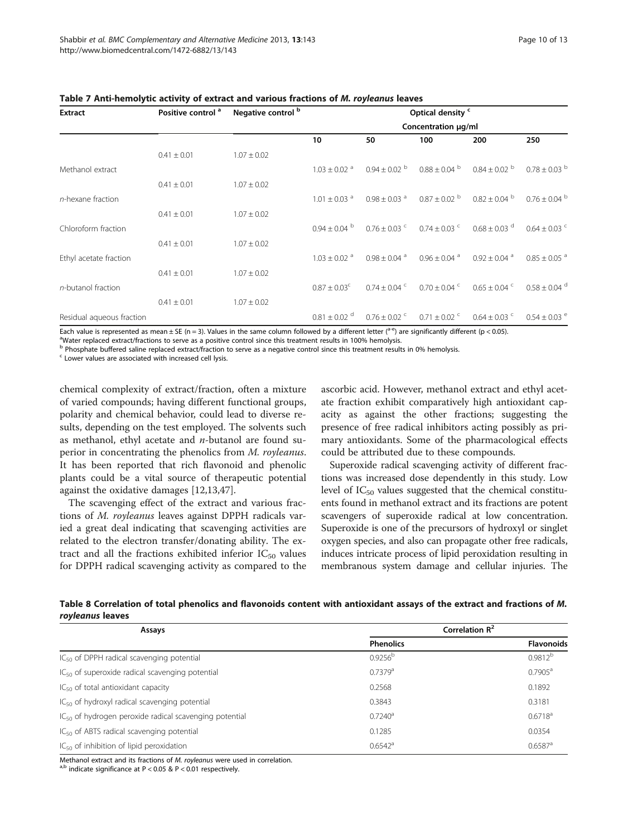| <b>Extract</b>            | Positive control <sup>a</sup> | Negative control <sup>b</sup> | Optical density <sup>c</sup><br>Concentration µg/ml |                                                                         |                                                                               |                              |                              |
|---------------------------|-------------------------------|-------------------------------|-----------------------------------------------------|-------------------------------------------------------------------------|-------------------------------------------------------------------------------|------------------------------|------------------------------|
|                           |                               |                               |                                                     |                                                                         |                                                                               |                              |                              |
|                           |                               |                               | 10                                                  | 50                                                                      | 100                                                                           | 200                          | 250                          |
|                           | $0.41 \pm 0.01$               | $1.07 \pm 0.02$               |                                                     |                                                                         |                                                                               |                              |                              |
| Methanol extract          |                               |                               | $1.03 + 0.02$ <sup>a</sup>                          |                                                                         | $0.94 + 0.02^{b}$ $0.88 + 0.04^{b}$ $0.84 + 0.02^{b}$                         |                              | $0.78 + 0.03^{b}$            |
|                           | $0.41 \pm 0.01$               | $1.07 \pm 0.02$               |                                                     |                                                                         |                                                                               |                              |                              |
| <i>n</i> -hexane fraction |                               |                               | $1.01 + 0.03$ <sup>a</sup>                          |                                                                         | $0.98 + 0.03^{a}$ $0.87 + 0.02^{b}$ $0.82 + 0.04^{b}$                         |                              | $0.76 \pm 0.04$ b            |
|                           | $0.41 \pm 0.01$               | $1.07 \pm 0.02$               |                                                     |                                                                         |                                                                               |                              |                              |
| Chloroform fraction       |                               |                               |                                                     | $0.94 + 0.04^{b}$ $0.76 + 0.03^{c}$ $0.74 + 0.03^{c}$ $0.68 + 0.03^{d}$ |                                                                               |                              | $0.64 \pm 0.03$              |
|                           | $0.41 \pm 0.01$               | $1.07 \pm 0.02$               |                                                     |                                                                         |                                                                               |                              |                              |
| Ethyl acetate fraction    |                               |                               | $1.03 + 0.02$ <sup>a</sup>                          |                                                                         | $0.98 \pm 0.04^{\text{ a}}$ $0.96 \pm 0.04^{\text{ a}}$                       | $0.92 \pm 0.04$ <sup>a</sup> | $0.85 \pm 0.05$ <sup>a</sup> |
|                           | $0.41 \pm 0.01$               | $1.07 \pm 0.02$               |                                                     |                                                                         |                                                                               |                              |                              |
| n-butanol fraction        |                               |                               | $0.87 + 0.03^{\circ}$                               | $0.74 \pm 0.04$                                                         | $0.70 \pm 0.04$                                                               | $0.65 \pm 0.04$              | $0.58 \pm 0.04$ <sup>d</sup> |
|                           | $0.41 \pm 0.01$               | $1.07 \pm 0.02$               |                                                     |                                                                         |                                                                               |                              |                              |
| Residual aqueous fraction |                               |                               | $0.81 \pm 0.02$ <sup>d</sup>                        |                                                                         | $0.76 \pm 0.02$ $\degree$ $0.71 \pm 0.02$ $\degree$ $0.64 \pm 0.03$ $\degree$ |                              | $0.54 \pm 0.03$ $^{\circ}$   |

<span id="page-9-0"></span>Table 7 Anti-hemolytic activity of extract and various fractions of M. royleanus leaves

Each value is represented as mean  $\pm$  SE (n = 3). Values in the same column followed by a different letter (<sup>a-e</sup>) are significantly different (p < 0.05).

<sup>a</sup>Water replaced extract/fractions to serve as a positive control since this treatment results in 100% hemolysis.

<sup>b</sup> Phosphate buffered saline replaced extract/fraction to serve as a negative control since this treatment results in 0% hemolysis.

 $\cdot$  Lower values are associated with increased cell lysis.

chemical complexity of extract/fraction, often a mixture of varied compounds; having different functional groups, polarity and chemical behavior, could lead to diverse results, depending on the test employed. The solvents such as methanol, ethyl acetate and  $n$ -butanol are found superior in concentrating the phenolics from M. royleanus. It has been reported that rich flavonoid and phenolic plants could be a vital source of therapeutic potential against the oxidative damages [[12,13](#page-12-0),[47](#page-12-0)].

The scavenging effect of the extract and various fractions of M. royleanus leaves against DPPH radicals varied a great deal indicating that scavenging activities are related to the electron transfer/donating ability. The extract and all the fractions exhibited inferior  $IC_{50}$  values for DPPH radical scavenging activity as compared to the ascorbic acid. However, methanol extract and ethyl acetate fraction exhibit comparatively high antioxidant capacity as against the other fractions; suggesting the presence of free radical inhibitors acting possibly as primary antioxidants. Some of the pharmacological effects could be attributed due to these compounds.

Superoxide radical scavenging activity of different fractions was increased dose dependently in this study. Low level of  $IC_{50}$  values suggested that the chemical constituents found in methanol extract and its fractions are potent scavengers of superoxide radical at low concentration. Superoxide is one of the precursors of hydroxyl or singlet oxygen species, and also can propagate other free radicals, induces intricate process of lipid peroxidation resulting in membranous system damage and cellular injuries. The

## Table 8 Correlation of total phenolics and flavonoids content with antioxidant assays of the extract and fractions of M. royleanus leaves

| Assays                                                      |                       | Correlation $R^2$     |
|-------------------------------------------------------------|-----------------------|-----------------------|
|                                                             | <b>Phenolics</b>      | <b>Flavonoids</b>     |
| $IC_{50}$ of DPPH radical scavenging potential              | $0.9256^{\circ}$      | $0.9812^{b}$          |
| $IC_{50}$ of superoxide radical scavenging potential        | $0.7379$ <sup>a</sup> | $0.7905^a$            |
| $IC_{50}$ of total antioxidant capacity                     | 0.2568                | 0.1892                |
| IC <sub>50</sub> of hydroxyl radical scavenging potential   | 0.3843                | 0.3181                |
| $IC_{50}$ of hydrogen peroxide radical scavenging potential | $0.7240$ <sup>a</sup> | $0.6718^a$            |
| $IC_{50}$ of ABTS radical scavenging potential              | 0.1285                | 0.0354                |
| $IC_{50}$ of inhibition of lipid peroxidation               | $0.6542$ <sup>a</sup> | $0.6587$ <sup>a</sup> |

Methanol extract and its fractions of *M. royleanus* were used in correlation.  $a,b$  indicate significance at P < 0.05 & P < 0.01 respectively.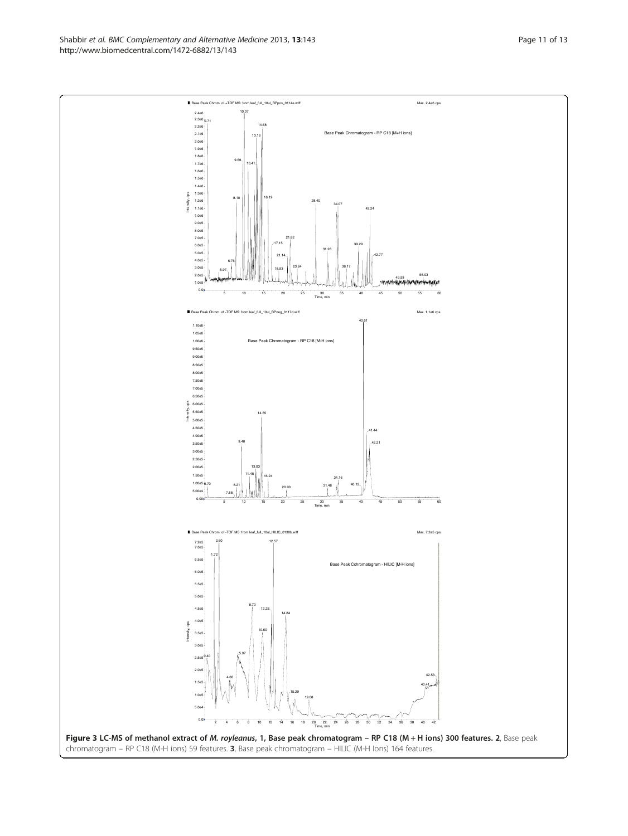http://www.biomedcentral.com/1472-6882/13/143

<span id="page-10-0"></span>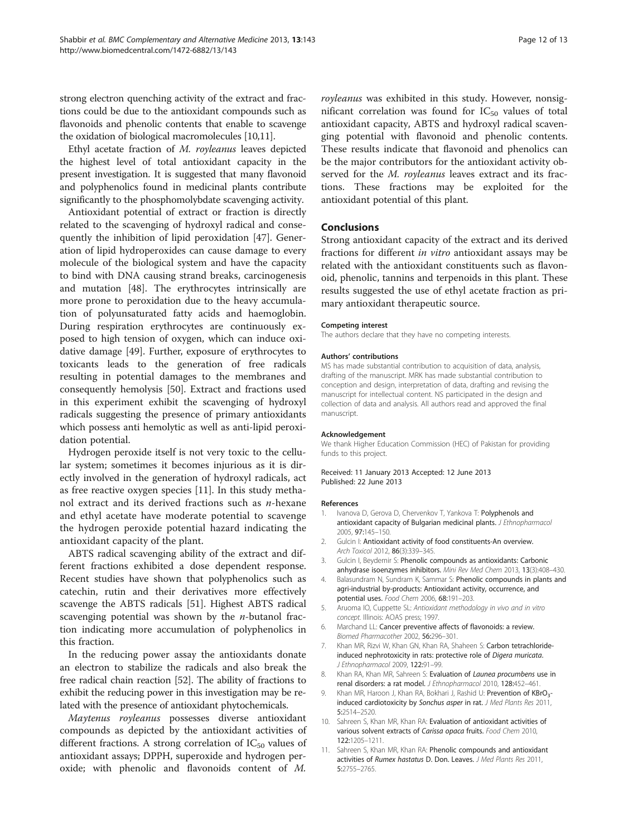<span id="page-11-0"></span>strong electron quenching activity of the extract and fractions could be due to the antioxidant compounds such as flavonoids and phenolic contents that enable to scavenge the oxidation of biological macromolecules [10,11].

Ethyl acetate fraction of M. royleanus leaves depicted the highest level of total antioxidant capacity in the present investigation. It is suggested that many flavonoid and polyphenolics found in medicinal plants contribute significantly to the phosphomolybdate scavenging activity.

Antioxidant potential of extract or fraction is directly related to the scavenging of hydroxyl radical and consequently the inhibition of lipid peroxidation [\[47\]](#page-12-0). Generation of lipid hydroperoxides can cause damage to every molecule of the biological system and have the capacity to bind with DNA causing strand breaks, carcinogenesis and mutation [[48](#page-12-0)]. The erythrocytes intrinsically are more prone to peroxidation due to the heavy accumulation of polyunsaturated fatty acids and haemoglobin. During respiration erythrocytes are continuously exposed to high tension of oxygen, which can induce oxidative damage [[49](#page-12-0)]. Further, exposure of erythrocytes to toxicants leads to the generation of free radicals resulting in potential damages to the membranes and consequently hemolysis [\[50](#page-12-0)]. Extract and fractions used in this experiment exhibit the scavenging of hydroxyl radicals suggesting the presence of primary antioxidants which possess anti hemolytic as well as anti-lipid peroxidation potential.

Hydrogen peroxide itself is not very toxic to the cellular system; sometimes it becomes injurious as it is directly involved in the generation of hydroxyl radicals, act as free reactive oxygen species [11]. In this study methanol extract and its derived fractions such as  $n$ -hexane and ethyl acetate have moderate potential to scavenge the hydrogen peroxide potential hazard indicating the antioxidant capacity of the plant.

ABTS radical scavenging ability of the extract and different fractions exhibited a dose dependent response. Recent studies have shown that polyphenolics such as catechin, rutin and their derivatives more effectively scavenge the ABTS radicals [\[51](#page-12-0)]. Highest ABTS radical scavenging potential was shown by the  $n$ -butanol fraction indicating more accumulation of polyphenolics in this fraction.

In the reducing power assay the antioxidants donate an electron to stabilize the radicals and also break the free radical chain reaction [[52](#page-12-0)]. The ability of fractions to exhibit the reducing power in this investigation may be related with the presence of antioxidant phytochemicals.

Maytenus royleanus possesses diverse antioxidant compounds as depicted by the antioxidant activities of different fractions. A strong correlation of  $IC_{50}$  values of antioxidant assays; DPPH, superoxide and hydrogen peroxide; with phenolic and flavonoids content of M.

royleanus was exhibited in this study. However, nonsignificant correlation was found for  $IC_{50}$  values of total antioxidant capacity, ABTS and hydroxyl radical scavenging potential with flavonoid and phenolic contents. These results indicate that flavonoid and phenolics can be the major contributors for the antioxidant activity observed for the M. royleanus leaves extract and its fractions. These fractions may be exploited for the antioxidant potential of this plant.

#### Conclusions

Strong antioxidant capacity of the extract and its derived fractions for different in vitro antioxidant assays may be related with the antioxidant constituents such as flavonoid, phenolic, tannins and terpenoids in this plant. These results suggested the use of ethyl acetate fraction as primary antioxidant therapeutic source.

#### Competing interest

The authors declare that they have no competing interests.

#### Authors' contributions

MS has made substantial contribution to acquisition of data, analysis, drafting of the manuscript. MRK has made substantial contribution to conception and design, interpretation of data, drafting and revising the manuscript for intellectual content. NS participated in the design and collection of data and analysis. All authors read and approved the final manuscript.

#### Acknowledgement

We thank Higher Education Commission (HEC) of Pakistan for providing funds to this project.

#### Received: 11 January 2013 Accepted: 12 June 2013 Published: 22 June 2013

#### References

- 1. Ivanova D, Gerova D, Chervenkov T, Yankova T: Polyphenols and antioxidant capacity of Bulgarian medicinal plants. J Ethnopharmacol 2005, 97:145–150.
- 2. Gulcin I: Antioxidant activity of food constituents-An overview. Arch Toxicol 2012, 86(3):339–345.
- 3. Gulcin I, Beydemir S: Phenolic compounds as antioxidants: Carbonic anhydrase isoenzymes inhibitors. Mini Rev Med Chem 2013, 13(3):408–430.
- 4. Balasundram N, Sundram K, Sammar S: Phenolic compounds in plants and agri-industrial by-products: Antioxidant activity, occurrence, and potential uses. Food Chem 2006, 68:191–203.
- 5. Aruoma IO, Cuppette SL: Antioxidant methodology in vivo and in vitro concept. Illinois: AOAS press; 1997.
- 6. Marchand LL: Cancer preventive affects of flavonoids: a review. Biomed Pharmacother 2002, 56:296–301.
- 7. Khan MR, Rizvi W, Khan GN, Khan RA, Shaheen S: Carbon tetrachlorideinduced nephrotoxicity in rats: protective role of Digera muricata. J Ethnopharmacol 2009, 122:91–99.
- 8. Khan RA, Khan MR, Sahreen S: Evaluation of Launea procumbens use in renal disorders: a rat model. J Ethnopharmacol 2010, 128:452–461.
- 9. Khan MR, Haroon J, Khan RA, Bokhari J, Rashid U: Prevention of KBrO<sub>3</sub>induced cardiotoxicity by Sonchus asper in rat. J Med Plants Res 2011, 5:2514–2520.
- 10. Sahreen S, Khan MR, Khan RA: Evaluation of antioxidant activities of various solvent extracts of Carissa opaca fruits. Food Chem 2010, 122:1205–1211.
- 11. Sahreen S, Khan MR, Khan RA: Phenolic compounds and antioxidant activities of Rumex hastatus D. Don. Leaves. J Med Plants Res 2011, 5:2755–2765.